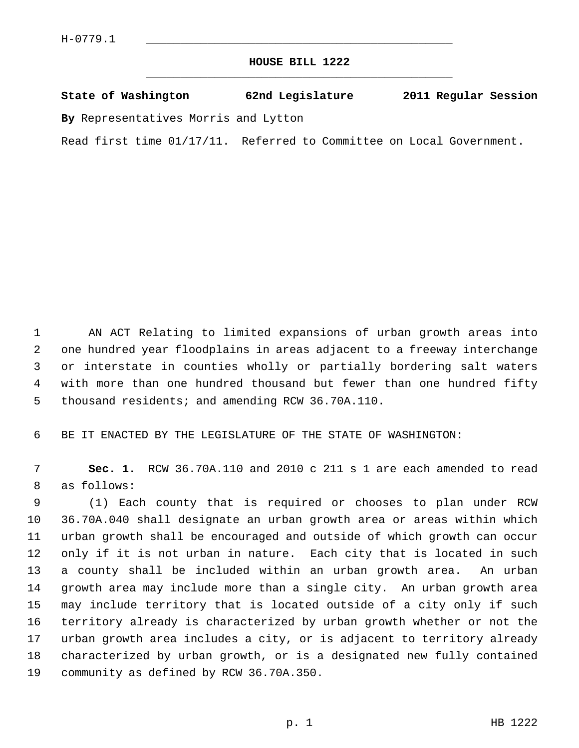## **HOUSE BILL 1222** \_\_\_\_\_\_\_\_\_\_\_\_\_\_\_\_\_\_\_\_\_\_\_\_\_\_\_\_\_\_\_\_\_\_\_\_\_\_\_\_\_\_\_\_\_

## **State of Washington 62nd Legislature 2011 Regular Session**

**By** Representatives Morris and Lytton

Read first time 01/17/11. Referred to Committee on Local Government.

 1 AN ACT Relating to limited expansions of urban growth areas into 2 one hundred year floodplains in areas adjacent to a freeway interchange 3 or interstate in counties wholly or partially bordering salt waters 4 with more than one hundred thousand but fewer than one hundred fifty 5 thousand residents; and amending RCW 36.70A.110.

6 BE IT ENACTED BY THE LEGISLATURE OF THE STATE OF WASHINGTON:

 7 **Sec. 1.** RCW 36.70A.110 and 2010 c 211 s 1 are each amended to read 8 as follows:

 9 (1) Each county that is required or chooses to plan under RCW 10 36.70A.040 shall designate an urban growth area or areas within which 11 urban growth shall be encouraged and outside of which growth can occur 12 only if it is not urban in nature. Each city that is located in such 13 a county shall be included within an urban growth area. An urban 14 growth area may include more than a single city. An urban growth area 15 may include territory that is located outside of a city only if such 16 territory already is characterized by urban growth whether or not the 17 urban growth area includes a city, or is adjacent to territory already 18 characterized by urban growth, or is a designated new fully contained 19 community as defined by RCW 36.70A.350.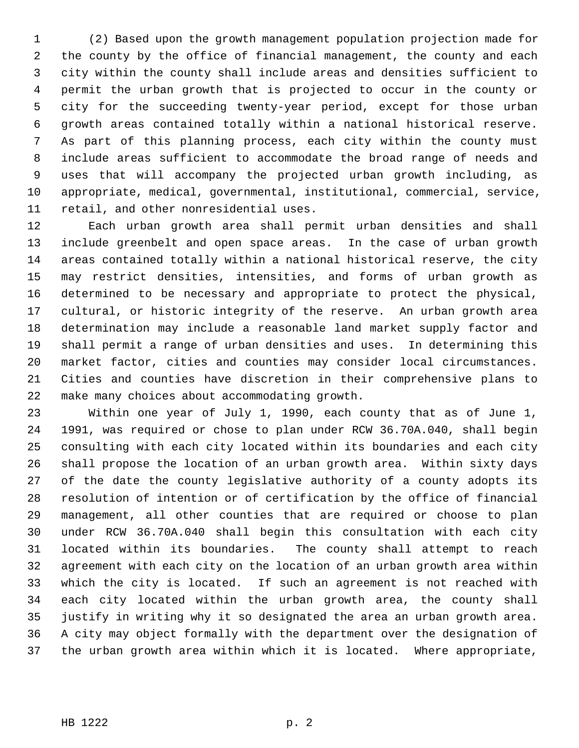1 (2) Based upon the growth management population projection made for 2 the county by the office of financial management, the county and each 3 city within the county shall include areas and densities sufficient to 4 permit the urban growth that is projected to occur in the county or 5 city for the succeeding twenty-year period, except for those urban 6 growth areas contained totally within a national historical reserve. 7 As part of this planning process, each city within the county must 8 include areas sufficient to accommodate the broad range of needs and 9 uses that will accompany the projected urban growth including, as 10 appropriate, medical, governmental, institutional, commercial, service, 11 retail, and other nonresidential uses.

12 Each urban growth area shall permit urban densities and shall 13 include greenbelt and open space areas. In the case of urban growth 14 areas contained totally within a national historical reserve, the city 15 may restrict densities, intensities, and forms of urban growth as 16 determined to be necessary and appropriate to protect the physical, 17 cultural, or historic integrity of the reserve. An urban growth area 18 determination may include a reasonable land market supply factor and 19 shall permit a range of urban densities and uses. In determining this 20 market factor, cities and counties may consider local circumstances. 21 Cities and counties have discretion in their comprehensive plans to 22 make many choices about accommodating growth.

23 Within one year of July 1, 1990, each county that as of June 1, 24 1991, was required or chose to plan under RCW 36.70A.040, shall begin 25 consulting with each city located within its boundaries and each city 26 shall propose the location of an urban growth area. Within sixty days 27 of the date the county legislative authority of a county adopts its 28 resolution of intention or of certification by the office of financial 29 management, all other counties that are required or choose to plan 30 under RCW 36.70A.040 shall begin this consultation with each city 31 located within its boundaries. The county shall attempt to reach 32 agreement with each city on the location of an urban growth area within 33 which the city is located. If such an agreement is not reached with 34 each city located within the urban growth area, the county shall 35 justify in writing why it so designated the area an urban growth area. 36 A city may object formally with the department over the designation of 37 the urban growth area within which it is located. Where appropriate,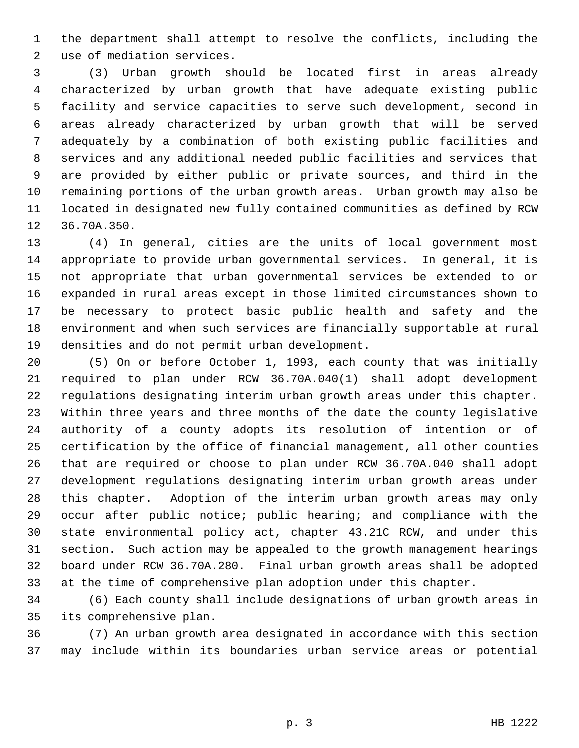1 the department shall attempt to resolve the conflicts, including the 2 use of mediation services.

 3 (3) Urban growth should be located first in areas already 4 characterized by urban growth that have adequate existing public 5 facility and service capacities to serve such development, second in 6 areas already characterized by urban growth that will be served 7 adequately by a combination of both existing public facilities and 8 services and any additional needed public facilities and services that 9 are provided by either public or private sources, and third in the 10 remaining portions of the urban growth areas. Urban growth may also be 11 located in designated new fully contained communities as defined by RCW 12 36.70A.350.

13 (4) In general, cities are the units of local government most 14 appropriate to provide urban governmental services. In general, it is 15 not appropriate that urban governmental services be extended to or 16 expanded in rural areas except in those limited circumstances shown to 17 be necessary to protect basic public health and safety and the 18 environment and when such services are financially supportable at rural 19 densities and do not permit urban development.

20 (5) On or before October 1, 1993, each county that was initially 21 required to plan under RCW 36.70A.040(1) shall adopt development 22 regulations designating interim urban growth areas under this chapter. 23 Within three years and three months of the date the county legislative 24 authority of a county adopts its resolution of intention or of 25 certification by the office of financial management, all other counties 26 that are required or choose to plan under RCW 36.70A.040 shall adopt 27 development regulations designating interim urban growth areas under 28 this chapter. Adoption of the interim urban growth areas may only 29 occur after public notice; public hearing; and compliance with the 30 state environmental policy act, chapter 43.21C RCW, and under this 31 section. Such action may be appealed to the growth management hearings 32 board under RCW 36.70A.280. Final urban growth areas shall be adopted 33 at the time of comprehensive plan adoption under this chapter.

34 (6) Each county shall include designations of urban growth areas in 35 its comprehensive plan.

36 (7) An urban growth area designated in accordance with this section 37 may include within its boundaries urban service areas or potential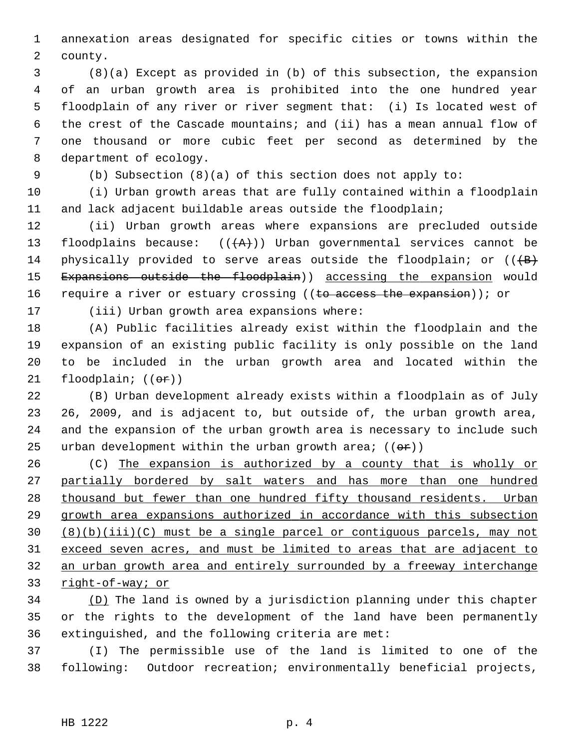1 annexation areas designated for specific cities or towns within the 2 county.

 3 (8)(a) Except as provided in (b) of this subsection, the expansion 4 of an urban growth area is prohibited into the one hundred year 5 floodplain of any river or river segment that: (i) Is located west of 6 the crest of the Cascade mountains; and (ii) has a mean annual flow of 7 one thousand or more cubic feet per second as determined by the 8 department of ecology.

9 (b) Subsection (8)(a) of this section does not apply to:

10 (i) Urban growth areas that are fully contained within a floodplain 11 and lack adjacent buildable areas outside the floodplain;

12 (ii) Urban growth areas where expansions are precluded outside 13 floodplains because:  $((+A))$  Urban governmental services cannot be 14 physically provided to serve areas outside the floodplain; or  $((+B)$ 15 Expansions outside the floodplain)) accessing the expansion would 16 require a river or estuary crossing ((to access the expansion)); or

17 (iii) Urban growth area expansions where:

18 (A) Public facilities already exist within the floodplain and the 19 expansion of an existing public facility is only possible on the land 20 to be included in the urban growth area and located within the 21 floodplain;  $((\theta \cdot \hat{r}))$ 

22 (B) Urban development already exists within a floodplain as of July 23 26, 2009, and is adjacent to, but outside of, the urban growth area, 24 and the expansion of the urban growth area is necessary to include such 25 urban development within the urban growth area;  $((\theta \cdot \hat{r}))$ 

26 (C) The expansion is authorized by a county that is wholly or partially bordered by salt waters and has more than one hundred 28 thousand but fewer than one hundred fifty thousand residents. Urban growth area expansions authorized in accordance with this subsection (8)(b)(iii)(C) must be a single parcel or contiguous parcels, may not exceed seven acres, and must be limited to areas that are adjacent to an urban growth area and entirely surrounded by a freeway interchange right-of-way; or

34 (D) The land is owned by a jurisdiction planning under this chapter 35 or the rights to the development of the land have been permanently 36 extinguished, and the following criteria are met:

37 (I) The permissible use of the land is limited to one of the 38 following: Outdoor recreation; environmentally beneficial projects,